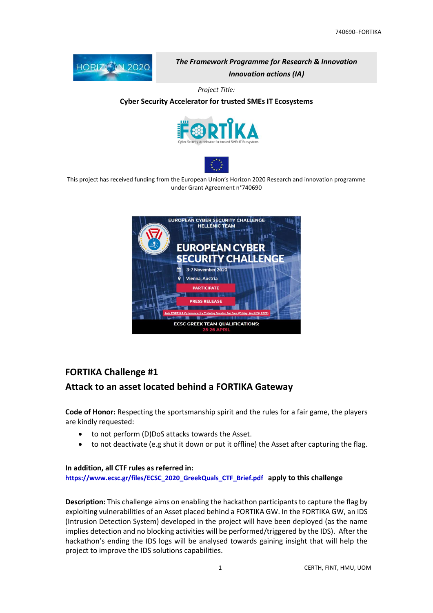

The Framework Programme for Research & Innovation Innovation actions (IA)

Project Title:

#### Cyber Security Accelerator for trusted SMEs IT Ecosystems





This project has received funding from the European Union's Horizon 2020 Research and innovation programme under Grant Agreement n°740690



# FORTIKA Challenge #1

# Attack to an asset located behind a FORTIKA Gateway

Code of Honor: Respecting the sportsmanship spirit and the rules for a fair game, the players are kindly requested:

- to not perform (D)DoS attacks towards the Asset.
- to not deactivate (e.g shut it down or put it offline) the Asset after capturing the flag.

#### In addition, all CTF rules as referred in:

https://www.ecsc.gr/files/ECSC\_2020\_GreekQuals\_CTF\_Brief.pdf apply to this challenge

Description: This challenge aims on enabling the hackathon participants to capture the flag by exploiting vulnerabilities of an Asset placed behind a FORTIKA GW. In the FORTIKA GW, an IDS (Intrusion Detection System) developed in the project will have been deployed (as the name implies detection and no blocking activities will be performed/triggered by the IDS). After the hackathon's ending the IDS logs will be analysed towards gaining insight that will help the project to improve the IDS solutions capabilities.